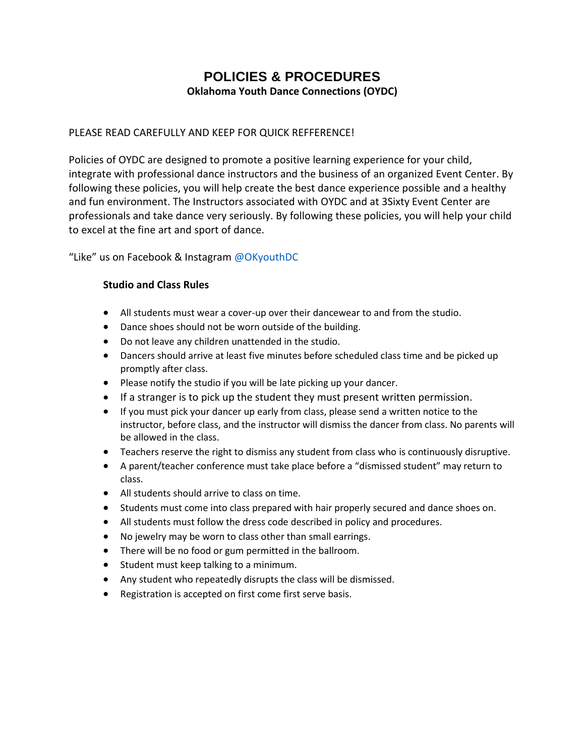# **POLICIES & PROCEDURES Oklahoma Youth Dance Connections (OYDC)**

# PLEASE READ CAREFULLY AND KEEP FOR QUICK REFFERENCE!

Policies of OYDC are designed to promote a positive learning experience for your child, integrate with professional dance instructors and the business of an organized Event Center. By following these policies, you will help create the best dance experience possible and a healthy and fun environment. The Instructors associated with OYDC and at 3Sixty Event Center are professionals and take dance very seriously. By following these policies, you will help your child to excel at the fine art and sport of dance.

"Like" us on Facebook & Instagram @OKyouthDC

# **Studio and Class Rules**

- All students must wear a cover-up over their dancewear to and from the studio.
- Dance shoes should not be worn outside of the building.
- Do not leave any children unattended in the studio.
- Dancers should arrive at least five minutes before scheduled class time and be picked up promptly after class.
- Please notify the studio if you will be late picking up your dancer.
- If a stranger is to pick up the student they must present written permission.
- If you must pick your dancer up early from class, please send a written notice to the instructor, before class, and the instructor will dismiss the dancer from class. No parents will be allowed in the class.
- Teachers reserve the right to dismiss any student from class who is continuously disruptive.
- A parent/teacher conference must take place before a "dismissed student" may return to class.
- All students should arrive to class on time.
- Students must come into class prepared with hair properly secured and dance shoes on.
- All students must follow the dress code described in policy and procedures.
- No jewelry may be worn to class other than small earrings.
- There will be no food or gum permitted in the ballroom.
- Student must keep talking to a minimum.
- Any student who repeatedly disrupts the class will be dismissed.
- Registration is accepted on first come first serve basis.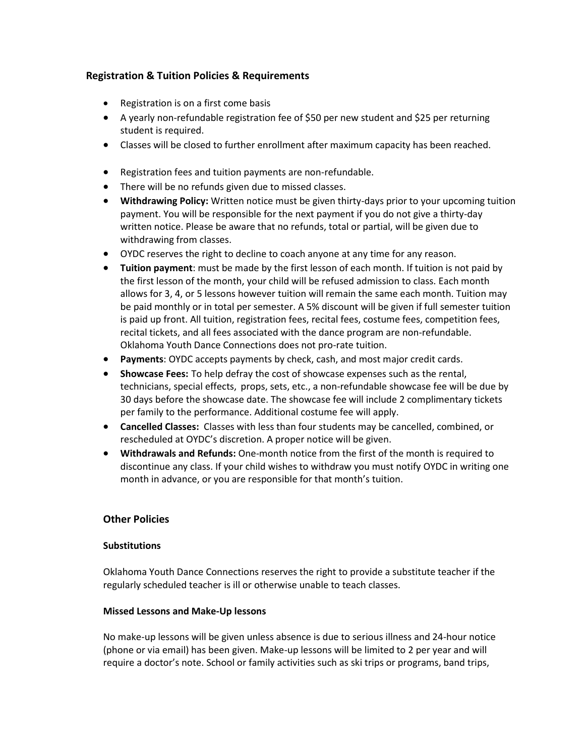# **Registration & Tuition Policies & Requirements**

- Registration is on a first come basis
- A yearly non-refundable registration fee of \$50 per new student and \$25 per returning student is required.
- Classes will be closed to further enrollment after maximum capacity has been reached.
- Registration fees and tuition payments are non-refundable.
- There will be no refunds given due to missed classes.
- **Withdrawing Policy:** Written notice must be given thirty-days prior to your upcoming tuition payment. You will be responsible for the next payment if you do not give a thirty-day written notice. Please be aware that no refunds, total or partial, will be given due to withdrawing from classes.
- OYDC reserves the right to decline to coach anyone at any time for any reason.
- **Tuition payment**: must be made by the first lesson of each month. If tuition is not paid by the first lesson of the month, your child will be refused admission to class. Each month allows for 3, 4, or 5 lessons however tuition will remain the same each month. Tuition may be paid monthly or in total per semester. A 5% discount will be given if full semester tuition is paid up front. All tuition, registration fees, recital fees, costume fees, competition fees, recital tickets, and all fees associated with the dance program are non-refundable. Oklahoma Youth Dance Connections does not pro-rate tuition.
- **Payments**: OYDC accepts payments by check, cash, and most major credit cards.
- **Showcase Fees:** To help defray the cost of showcase expenses such as the rental, technicians, special effects, props, sets, etc., a non-refundable showcase fee will be due by 30 days before the showcase date. The showcase fee will include 2 complimentary tickets per family to the performance. Additional costume fee will apply.
- **Cancelled Classes:** Classes with less than four students may be cancelled, combined, or rescheduled at OYDC's discretion. A proper notice will be given.
- **Withdrawals and Refunds:** One-month notice from the first of the month is required to discontinue any class. If your child wishes to withdraw you must notify OYDC in writing one month in advance, or you are responsible for that month's tuition.

## **Other Policies**

## **Substitutions**

Oklahoma Youth Dance Connections reserves the right to provide a substitute teacher if the regularly scheduled teacher is ill or otherwise unable to teach classes.

## **Missed Lessons and Make-Up lessons**

No make-up lessons will be given unless absence is due to serious illness and 24-hour notice (phone or via email) has been given. Make-up lessons will be limited to 2 per year and will require a doctor's note. School or family activities such as ski trips or programs, band trips,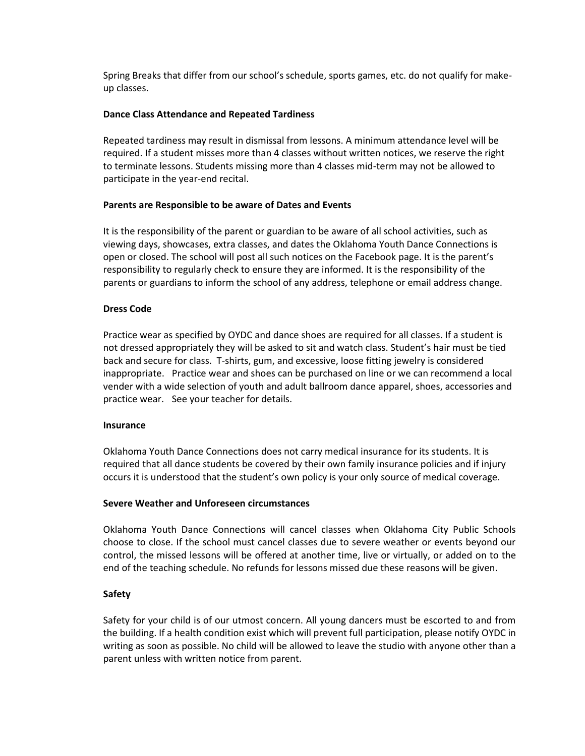Spring Breaks that differ from our school's schedule, sports games, etc. do not qualify for makeup classes.

### **Dance Class Attendance and Repeated Tardiness**

Repeated tardiness may result in dismissal from lessons. A minimum attendance level will be required. If a student misses more than 4 classes without written notices, we reserve the right to terminate lessons. Students missing more than 4 classes mid-term may not be allowed to participate in the year-end recital.

#### **Parents are Responsible to be aware of Dates and Events**

It is the responsibility of the parent or guardian to be aware of all school activities, such as viewing days, showcases, extra classes, and dates the Oklahoma Youth Dance Connections is open or closed. The school will post all such notices on the Facebook page. It is the parent's responsibility to regularly check to ensure they are informed. It is the responsibility of the parents or guardians to inform the school of any address, telephone or email address change.

#### **Dress Code**

Practice wear as specified by OYDC and dance shoes are required for all classes. If a student is not dressed appropriately they will be asked to sit and watch class. Student's hair must be tied back and secure for class. T-shirts, gum, and excessive, loose fitting jewelry is considered inappropriate. Practice wear and shoes can be purchased on line or we can recommend a local vender with a wide selection of youth and adult ballroom dance apparel, shoes, accessories and practice wear. See your teacher for details.

#### **Insurance**

Oklahoma Youth Dance Connections does not carry medical insurance for its students. It is required that all dance students be covered by their own family insurance policies and if injury occurs it is understood that the student's own policy is your only source of medical coverage.

#### **Severe Weather and Unforeseen circumstances**

Oklahoma Youth Dance Connections will cancel classes when Oklahoma City Public Schools choose to close. If the school must cancel classes due to severe weather or events beyond our control, the missed lessons will be offered at another time, live or virtually, or added on to the end of the teaching schedule. No refunds for lessons missed due these reasons will be given.

## **Safety**

Safety for your child is of our utmost concern. All young dancers must be escorted to and from the building. If a health condition exist which will prevent full participation, please notify OYDC in writing as soon as possible. No child will be allowed to leave the studio with anyone other than a parent unless with written notice from parent.